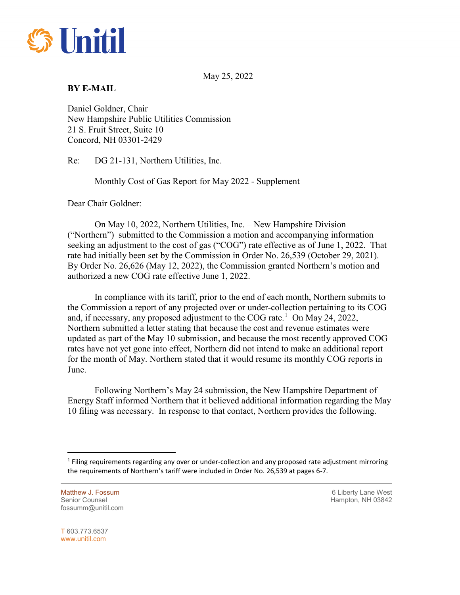

May 25, 2022

## **BY E-MAIL**

Daniel Goldner, Chair New Hampshire Public Utilities Commission 21 S. Fruit Street, Suite 10 Concord, NH 03301-2429

Re: DG 21-131, Northern Utilities, Inc.

Monthly Cost of Gas Report for May 2022 - Supplement

Dear Chair Goldner:

On May 10, 2022, Northern Utilities, Inc. – New Hampshire Division ("Northern") submitted to the Commission a motion and accompanying information seeking an adjustment to the cost of gas ("COG") rate effective as of June 1, 2022. That rate had initially been set by the Commission in Order No. 26,539 (October 29, 2021). By Order No. 26,626 (May 12, 2022), the Commission granted Northern's motion and authorized a new COG rate effective June 1, 2022.

In compliance with its tariff, prior to the end of each month, Northern submits to the Commission a report of any projected over or under-collection pertaining to its COG and, if necessary, any proposed adjustment to the COG rate.<sup>[1](#page-0-0)</sup> On May 24, 2022, Northern submitted a letter stating that because the cost and revenue estimates were updated as part of the May 10 submission, and because the most recently approved COG rates have not yet gone into effect, Northern did not intend to make an additional report for the month of May. Northern stated that it would resume its monthly COG reports in June.

Following Northern's May 24 submission, the New Hampshire Department of Energy Staff informed Northern that it believed additional information regarding the May 10 filing was necessary. In response to that contact, Northern provides the following.

Matthew J. Fossum **6 Liberty Lane West 6 Liberty Lane West** Senior Counsel New York 1988 and the Senior Counsel Hampton, NH 03842 fossumm@unitil.com

T 603.773.6537 www.unitil.com

<span id="page-0-0"></span> $\overline{a}$ 

 $<sup>1</sup>$  Filing requirements regarding any over or under-collection and any proposed rate adjustment mirroring</sup> the requirements of Northern's tariff were included in Order No. 26,539 at pages 6-7.